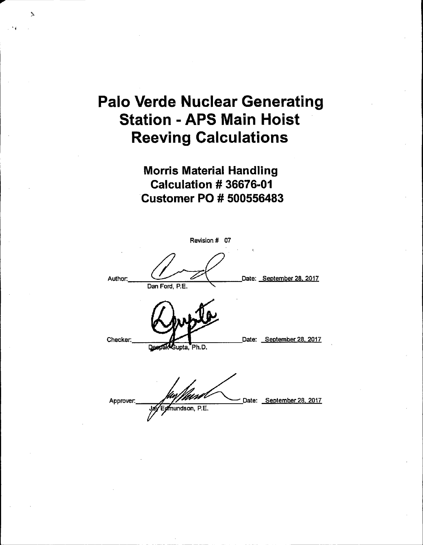## **Palo Verde Nuclear Generating Station - APS Main Hoist Reeving Calculations**

 $\lambda$ 

**Morris Material Handling Calculation # 36676-01 Customer PO # 500556483** 

|           | Revision # 07      |   |                          |
|-----------|--------------------|---|--------------------------|
| Author.   | Dan Ford, P.E.     | ξ | Date: September 28, 2017 |
| Checker:  | DeepakGupta, Ph.D. |   | Date: September 28, 2017 |
| Approver. | Edmundson, P.E.    |   | Date: September 28, 2017 |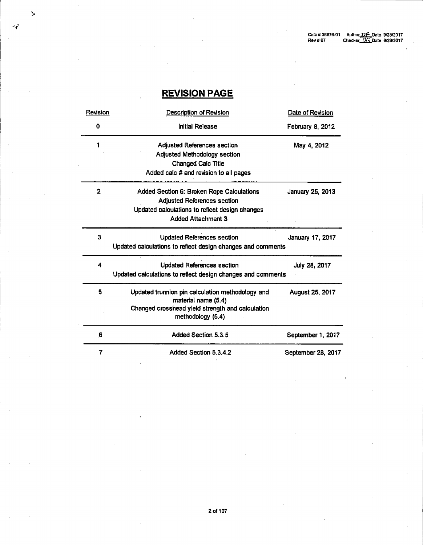## **REVISION PAGE**

 $\geq$ 

تور

| Revision                | <b>Description of Revision</b>                              | Date of Revision   |
|-------------------------|-------------------------------------------------------------|--------------------|
| 0                       | <b>Initial Release</b>                                      | February 8, 2012   |
| 1                       | <b>Adjusted References section</b>                          | May 4, 2012        |
|                         | <b>Adjusted Methodology section</b>                         |                    |
|                         | <b>Changed Calc Title</b>                                   |                    |
|                         | Added calc # and revision to all pages                      |                    |
| $\overline{\mathbf{2}}$ | Added Section 6: Broken Rope Calculations                   | January 25, 2013   |
|                         | <b>Adjusted References section</b>                          |                    |
|                         | Updated calculations to reflect design changes              |                    |
|                         | <b>Added Attachment 3</b>                                   |                    |
| 3                       | <b>Updated References section</b>                           | January 17, 2017   |
|                         | Updated calculations to reflect design changes and comments |                    |
| 4                       | <b>Updated References section</b>                           | July 28, 2017      |
|                         | Updated calculations to reflect design changes and comments |                    |
| 6                       | Updated trunnion pin calculation methodology and            | August 25, 2017    |
|                         | material name (5.4)                                         |                    |
|                         | Changed crosshead yield strength and calculation            |                    |
|                         | methodology (5.4)                                           |                    |
| 6                       | Added Section 5.3.5                                         | September 1, 2017  |
| 7                       | Added Section 5.3.4.2                                       | September 28, 2017 |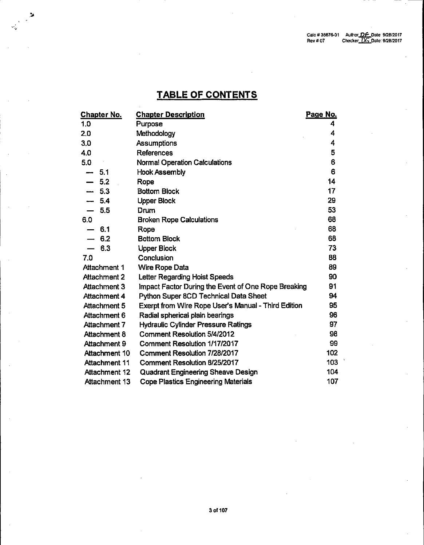## **TABLE OF CONTENTS**

 $\rightarrow$ 

| <b>Chapter No.</b>   | <b>Chapter Description</b>                          | Page No. |
|----------------------|-----------------------------------------------------|----------|
| 1.0                  | Purpose                                             | 4        |
| 2.0                  | Methodology                                         | 4        |
| 3,0                  | Assumptions                                         | 4        |
| 4.0                  | References                                          | 5        |
| 5.0                  | <b>Normal Operation Calculations</b>                | 6        |
| - 5.1<br>anna.       | <b>Hook Assembly</b>                                | 6        |
| $-5.2$               | Rope                                                | 14       |
| $-5.3$               | <b>Bottom Block</b>                                 | 17       |
| $-5.4$               | <b>Upper Block</b>                                  | 29       |
| 5.5                  | Drum                                                | 53       |
| 6.0                  | <b>Broken Rope Calculations</b>                     | 68       |
| 6.1                  | Rope                                                | 68       |
| $-6.2$               | <b>Bottom Block</b>                                 | 68       |
| $-6.3$               | <b>Upper Block</b>                                  | 73       |
| 7.0                  | Conclusion                                          | 88       |
| Attachment 1         | Wire Rope Data                                      | 89       |
| Attachment 2         | Letter Regarding Hoist Speeds                       | 90       |
| Attachment 3         | Impact Factor During the Event of One Rope Breaking | 91       |
| <b>Attachment 4</b>  | Python Super 8CD Technical Data Sheet               | 94       |
| Attachment 5         | Exerpt from Wire Rope User's Manual - Third Edition | 95       |
| Attachment 6         | Radial spherical plain bearings                     | 96       |
| <b>Attachment 7</b>  | <b>Hydraulic Cylinder Pressure Ratings</b>          | 97       |
| Attachment 8         | <b>Comment Resolution 5/4/2012</b>                  | 98       |
| Attachment 9         | Comment Resolution 1/17/2017                        | 99       |
| Attachment 10        | Comment Resolution 7/28/2017                        | 102      |
| <b>Attachment 11</b> | Comment Resolution 8/25/2017                        | 103      |
| Attachment 12        | <b>Quadrant Engineering Sheave Design</b>           | 104      |
| Attachment 13        | <b>Cope Plastics Engineering Materials</b>          | 107      |